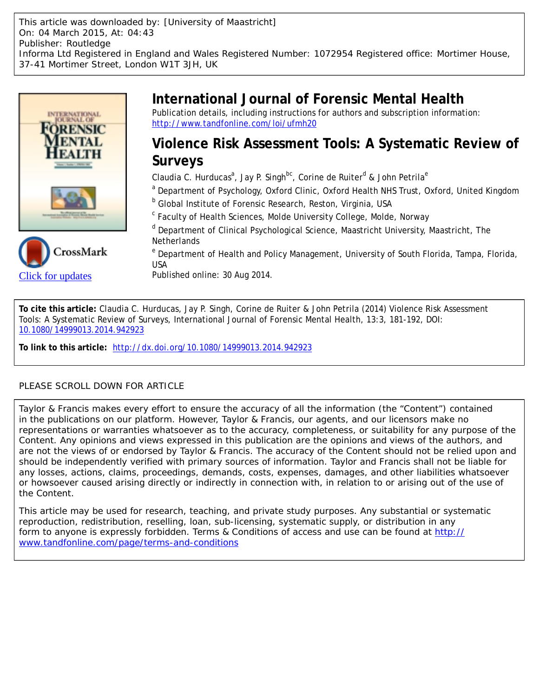This article was downloaded by: [University of Maastricht] On: 04 March 2015, At: 04:43 Publisher: Routledge Informa Ltd Registered in England and Wales Registered Number: 1072954 Registered office: Mortimer House, 37-41 Mortimer Street, London W1T 3JH, UK



[Click for updates](http://crossmark.crossref.org/dialog/?doi=10.1080/14999013.2014.942923&domain=pdf&date_stamp=2014-08-30)



Publication details, including instructions for authors and subscription information: <http://www.tandfonline.com/loi/ufmh20>

# **Violence Risk Assessment Tools: A Systematic Review of Surveys**

Claudia C. Hurducas<sup>a</sup>, Jay P. Singh<sup>bc</sup>, Corine de Ruiter<sup>d</sup> & John Petrila<sup>e</sup>

- <sup>a</sup> Department of Psychology, Oxford Clinic, Oxford Health NHS Trust, Oxford, United Kingdom
- <sup>b</sup> Global Institute of Forensic Research, Reston, Virginia, USA
- <sup>c</sup> Faculty of Health Sciences, Molde University College, Molde, Norway
- <sup>d</sup> Department of Clinical Psychological Science, Maastricht University, Maastricht, The **Netherlands**

<sup>e</sup> Department of Health and Policy Management, University of South Florida, Tampa, Florida, USA

Published online: 30 Aug 2014.

**To cite this article:** Claudia C. Hurducas, Jay P. Singh, Corine de Ruiter & John Petrila (2014) Violence Risk Assessment Tools: A Systematic Review of Surveys, International Journal of Forensic Mental Health, 13:3, 181-192, DOI: [10.1080/14999013.2014.942923](http://www.tandfonline.com/action/showCitFormats?doi=10.1080/14999013.2014.942923)

**To link to this article:** <http://dx.doi.org/10.1080/14999013.2014.942923>

## PLEASE SCROLL DOWN FOR ARTICLE

Taylor & Francis makes every effort to ensure the accuracy of all the information (the "Content") contained in the publications on our platform. However, Taylor & Francis, our agents, and our licensors make no representations or warranties whatsoever as to the accuracy, completeness, or suitability for any purpose of the Content. Any opinions and views expressed in this publication are the opinions and views of the authors, and are not the views of or endorsed by Taylor & Francis. The accuracy of the Content should not be relied upon and should be independently verified with primary sources of information. Taylor and Francis shall not be liable for any losses, actions, claims, proceedings, demands, costs, expenses, damages, and other liabilities whatsoever or howsoever caused arising directly or indirectly in connection with, in relation to or arising out of the use of the Content.

This article may be used for research, teaching, and private study purposes. Any substantial or systematic reproduction, redistribution, reselling, loan, sub-licensing, systematic supply, or distribution in any form to anyone is expressly forbidden. Terms & Conditions of access and use can be found at [http://](http://www.tandfonline.com/page/terms-and-conditions) [www.tandfonline.com/page/terms-and-conditions](http://www.tandfonline.com/page/terms-and-conditions)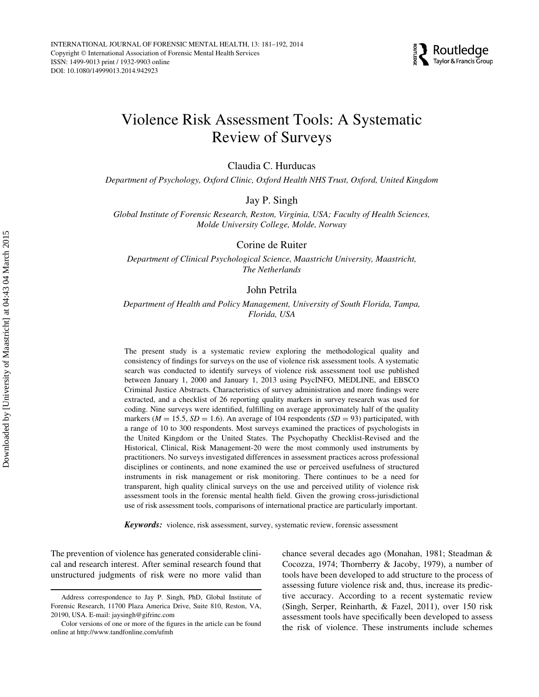

# Violence Risk Assessment Tools: A Systematic Review of Surveys

Claudia C. Hurducas

Department of Psychology, Oxford Clinic, Oxford Health NHS Trust, Oxford, United Kingdom

Jay P. Singh

Global Institute of Forensic Research, Reston, Virginia, USA; Faculty of Health Sciences, Molde University College, Molde, Norway

Corine de Ruiter

Department of Clinical Psychological Science, Maastricht University, Maastricht, The Netherlands

### John Petrila

Department of Health and Policy Management, University of South Florida, Tampa, Florida, USA

The present study is a systematic review exploring the methodological quality and consistency of findings for surveys on the use of violence risk assessment tools. A systematic search was conducted to identify surveys of violence risk assessment tool use published between January 1, 2000 and January 1, 2013 using PsycINFO, MEDLINE, and EBSCO Criminal Justice Abstracts. Characteristics of survey administration and more findings were extracted, and a checklist of 26 reporting quality markers in survey research was used for coding. Nine surveys were identified, fulfilling on average approximately half of the quality markers ( $M = 15.5$ ,  $SD = 1.6$ ). An average of 104 respondents ( $SD = 93$ ) participated, with a range of 10 to 300 respondents. Most surveys examined the practices of psychologists in the United Kingdom or the United States. The Psychopathy Checklist-Revised and the Historical, Clinical, Risk Management-20 were the most commonly used instruments by practitioners. No surveys investigated differences in assessment practices across professional disciplines or continents, and none examined the use or perceived usefulness of structured instruments in risk management or risk monitoring. There continues to be a need for transparent, high quality clinical surveys on the use and perceived utility of violence risk assessment tools in the forensic mental health field. Given the growing cross-jurisdictional use of risk assessment tools, comparisons of international practice are particularly important.

Keywords: violence, risk assessment, survey, systematic review, forensic assessment

The prevention of violence has generated considerable clinical and research interest. After seminal research found that unstructured judgments of risk were no more valid than chance several decades ago (Monahan, 1981; Steadman & Cocozza, 1974; Thornberry & Jacoby, 1979), a number of tools have been developed to add structure to the process of assessing future violence risk and, thus, increase its predictive accuracy. According to a recent systematic review (Singh, Serper, Reinharth, & Fazel, 2011), over 150 risk assessment tools have specifically been developed to assess the risk of violence. These instruments include schemes

Address correspondence to Jay P. Singh, PhD, Global Institute of Forensic Research, 11700 Plaza America Drive, Suite 810, Reston, VA, 20190, USA. E-mail: jaysingh@gifrinc.com

Color versions of one or more of the figures in the article can be found online at http://www.tandfonline.com/ufmh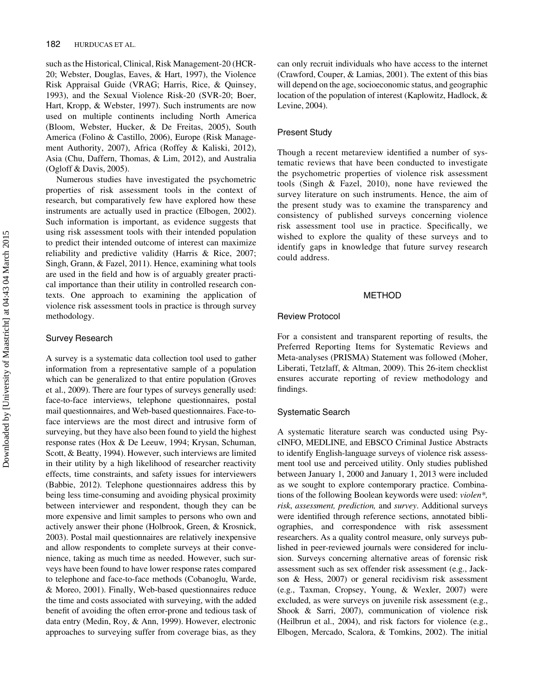such as the Historical, Clinical, Risk Management-20 (HCR-20; Webster, Douglas, Eaves, & Hart, 1997), the Violence Risk Appraisal Guide (VRAG; Harris, Rice, & Quinsey, 1993), and the Sexual Violence Risk-20 (SVR-20; Boer, Hart, Kropp, & Webster, 1997). Such instruments are now used on multiple continents including North America (Bloom, Webster, Hucker, & De Freitas, 2005), South America (Folino & Castillo, 2006), Europe (Risk Management Authority, 2007), Africa (Roffey & Kaliski, 2012), Asia (Chu, Daffern, Thomas, & Lim, 2012), and Australia (Ogloff & Davis, 2005).

Numerous studies have investigated the psychometric properties of risk assessment tools in the context of research, but comparatively few have explored how these instruments are actually used in practice (Elbogen, 2002). Such information is important, as evidence suggests that using risk assessment tools with their intended population to predict their intended outcome of interest can maximize reliability and predictive validity (Harris & Rice, 2007; Singh, Grann, & Fazel, 2011). Hence, examining what tools are used in the field and how is of arguably greater practical importance than their utility in controlled research contexts. One approach to examining the application of violence risk assessment tools in practice is through survey methodology.

#### Survey Research

A survey is a systematic data collection tool used to gather information from a representative sample of a population which can be generalized to that entire population (Groves et al., 2009). There are four types of surveys generally used: face-to-face interviews, telephone questionnaires, postal mail questionnaires, and Web-based questionnaires. Face-toface interviews are the most direct and intrusive form of surveying, but they have also been found to yield the highest response rates (Hox & De Leeuw, 1994; Krysan, Schuman, Scott, & Beatty, 1994). However, such interviews are limited in their utility by a high likelihood of researcher reactivity effects, time constraints, and safety issues for interviewers (Babbie, 2012). Telephone questionnaires address this by being less time-consuming and avoiding physical proximity between interviewer and respondent, though they can be more expensive and limit samples to persons who own and actively answer their phone (Holbrook, Green, & Krosnick, 2003). Postal mail questionnaires are relatively inexpensive and allow respondents to complete surveys at their convenience, taking as much time as needed. However, such surveys have been found to have lower response rates compared to telephone and face-to-face methods (Cobanoglu, Warde, & Moreo, 2001). Finally, Web-based questionnaires reduce the time and costs associated with surveying, with the added benefit of avoiding the often error-prone and tedious task of data entry (Medin, Roy, & Ann, 1999). However, electronic approaches to surveying suffer from coverage bias, as they can only recruit individuals who have access to the internet (Crawford, Couper, & Lamias, 2001). The extent of this bias will depend on the age, socioeconomic status, and geographic location of the population of interest (Kaplowitz, Hadlock, & Levine, 2004).

#### Present Study

Though a recent metareview identified a number of systematic reviews that have been conducted to investigate the psychometric properties of violence risk assessment tools (Singh & Fazel, 2010), none have reviewed the survey literature on such instruments. Hence, the aim of the present study was to examine the transparency and consistency of published surveys concerning violence risk assessment tool use in practice. Specifically, we wished to explore the quality of these surveys and to identify gaps in knowledge that future survey research could address.

## METHOD

#### Review Protocol

For a consistent and transparent reporting of results, the Preferred Reporting Items for Systematic Reviews and Meta-analyses (PRISMA) Statement was followed (Moher, Liberati, Tetzlaff, & Altman, 2009). This 26-item checklist ensures accurate reporting of review methodology and findings.

#### Systematic Search

A systematic literature search was conducted using PsycINFO, MEDLINE, and EBSCO Criminal Justice Abstracts to identify English-language surveys of violence risk assessment tool use and perceived utility. Only studies published between January 1, 2000 and January 1, 2013 were included as we sought to explore contemporary practice. Combinations of the following Boolean keywords were used: violen\*, risk, assessment, prediction, and survey. Additional surveys were identified through reference sections, annotated bibliographies, and correspondence with risk assessment researchers. As a quality control measure, only surveys published in peer-reviewed journals were considered for inclusion. Surveys concerning alternative areas of forensic risk assessment such as sex offender risk assessment (e.g., Jackson & Hess, 2007) or general recidivism risk assessment (e.g., Taxman, Cropsey, Young, & Wexler, 2007) were excluded, as were surveys on juvenile risk assessment (e.g., Shook & Sarri, 2007), communication of violence risk (Heilbrun et al., 2004), and risk factors for violence (e.g., Elbogen, Mercado, Scalora, & Tomkins, 2002). The initial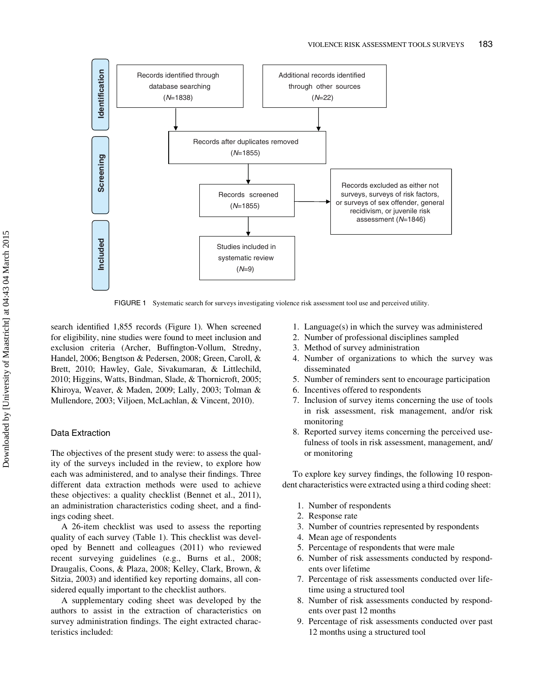

FIGURE 1 Systematic search for surveys investigating violence risk assessment tool use and perceived utility.

search identified 1,855 records (Figure 1). When screened for eligibility, nine studies were found to meet inclusion and exclusion criteria (Archer, Buffington-Vollum, Stredny, Handel, 2006; Bengtson & Pedersen, 2008; Green, Caroll, & Brett, 2010; Hawley, Gale, Sivakumaran, & Littlechild, 2010; Higgins, Watts, Bindman, Slade, & Thornicroft, 2005; Khiroya, Weaver, & Maden, 2009; Lally, 2003; Tolman & Mullendore, 2003; Viljoen, McLachlan, & Vincent, 2010).

## Data Extraction

The objectives of the present study were: to assess the quality of the surveys included in the review, to explore how each was administered, and to analyse their findings. Three different data extraction methods were used to achieve these objectives: a quality checklist (Bennet et al., 2011), an administration characteristics coding sheet, and a findings coding sheet.

A 26-item checklist was used to assess the reporting quality of each survey (Table 1). This checklist was developed by Bennett and colleagues (2011) who reviewed recent surveying guidelines (e.g., Burns et al., 2008; Draugalis, Coons, & Plaza, 2008; Kelley, Clark, Brown, & Sitzia, 2003) and identified key reporting domains, all considered equally important to the checklist authors.

A supplementary coding sheet was developed by the authors to assist in the extraction of characteristics on survey administration findings. The eight extracted characteristics included:

- 1. Language(s) in which the survey was administered
- 2. Number of professional disciplines sampled
- 3. Method of survey administration
- 4. Number of organizations to which the survey was disseminated
- 5. Number of reminders sent to encourage participation
- 6. Incentives offered to respondents
- 7. Inclusion of survey items concerning the use of tools in risk assessment, risk management, and/or risk monitoring
- 8. Reported survey items concerning the perceived usefulness of tools in risk assessment, management, and/ or monitoring

To explore key survey findings, the following 10 respondent characteristics were extracted using a third coding sheet:

- 1. Number of respondents
- 2. Response rate
- 3. Number of countries represented by respondents
- 4. Mean age of respondents
- 5. Percentage of respondents that were male
- 6. Number of risk assessments conducted by respondents over lifetime
- 7. Percentage of risk assessments conducted over lifetime using a structured tool
- 8. Number of risk assessments conducted by respondents over past 12 months
- 9. Percentage of risk assessments conducted over past 12 months using a structured tool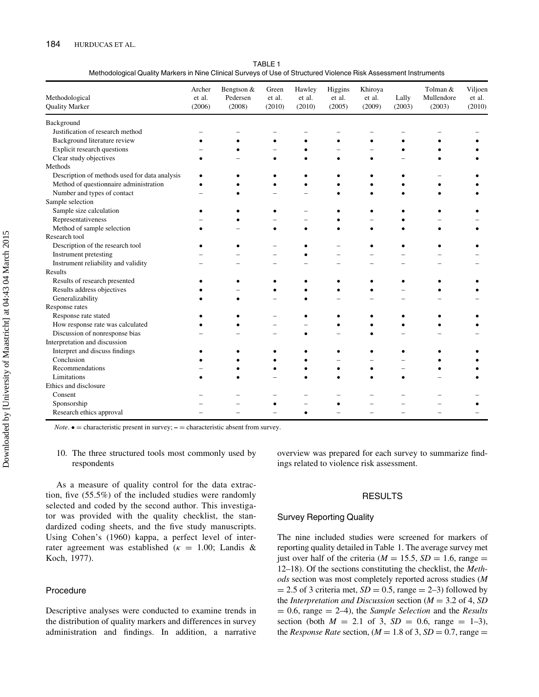| TABLE 1                                                                                                           |
|-------------------------------------------------------------------------------------------------------------------|
| Methodological Quality Markers in Nine Clinical Surveys of Use of Structured Violence Risk Assessment Instruments |

| Methodological                                | Archer<br>et al. | Bengtson &<br>Pedersen | Green<br>et al. | Hawley<br>et al. | Higgins<br>et al. | Khiroya<br>et al. | Lally  | Tolman &<br>Mullendore | Viljoen<br>et al. |
|-----------------------------------------------|------------------|------------------------|-----------------|------------------|-------------------|-------------------|--------|------------------------|-------------------|
| <b>Quality Marker</b>                         | (2006)           | (2008)                 | (2010)          | (2010)           | (2005)            | (2009)            | (2003) | (2003)                 | (2010)            |
| Background                                    |                  |                        |                 |                  |                   |                   |        |                        |                   |
| Justification of research method              |                  |                        |                 |                  |                   |                   |        |                        |                   |
| Background literature review                  |                  |                        |                 |                  |                   |                   |        |                        |                   |
| Explicit research questions                   |                  |                        |                 |                  |                   |                   |        |                        |                   |
| Clear study objectives                        |                  |                        |                 |                  |                   |                   |        |                        |                   |
| Methods                                       |                  |                        |                 |                  |                   |                   |        |                        |                   |
| Description of methods used for data analysis |                  |                        |                 |                  |                   |                   |        |                        |                   |
| Method of questionnaire administration        | $\bullet$        |                        |                 |                  |                   |                   |        |                        |                   |
| Number and types of contact                   |                  |                        |                 |                  |                   |                   |        |                        |                   |
| Sample selection                              |                  |                        |                 |                  |                   |                   |        |                        |                   |
| Sample size calculation                       |                  |                        |                 |                  |                   |                   |        |                        |                   |
| Representativeness                            |                  |                        |                 |                  |                   |                   |        |                        |                   |
| Method of sample selection                    |                  |                        |                 |                  |                   |                   |        |                        |                   |
| Research tool                                 |                  |                        |                 |                  |                   |                   |        |                        |                   |
| Description of the research tool              |                  |                        |                 |                  |                   |                   |        |                        |                   |
| Instrument pretesting                         |                  |                        |                 |                  |                   |                   |        |                        |                   |
| Instrument reliability and validity           |                  |                        |                 |                  |                   |                   |        |                        |                   |
| Results                                       |                  |                        |                 |                  |                   |                   |        |                        |                   |
| Results of research presented                 |                  |                        |                 |                  |                   |                   |        |                        |                   |
| Results address objectives                    |                  |                        |                 |                  |                   |                   |        |                        |                   |
| Generalizability                              |                  |                        |                 |                  |                   |                   |        |                        |                   |
| Response rates                                |                  |                        |                 |                  |                   |                   |        |                        |                   |
| Response rate stated                          |                  |                        |                 |                  |                   |                   |        |                        |                   |
| How response rate was calculated              |                  |                        |                 |                  |                   |                   |        |                        |                   |
| Discussion of nonresponse bias                |                  |                        |                 |                  |                   |                   |        |                        |                   |
| Interpretation and discussion                 |                  |                        |                 |                  |                   |                   |        |                        |                   |
| Interpret and discuss findings                |                  |                        |                 |                  |                   |                   |        |                        |                   |
| Conclusion                                    |                  |                        |                 |                  |                   |                   |        |                        |                   |
| Recommendations                               |                  |                        |                 |                  |                   |                   |        |                        |                   |
| Limitations                                   |                  |                        |                 |                  |                   |                   |        |                        |                   |
| Ethics and disclosure                         |                  |                        |                 |                  |                   |                   |        |                        |                   |
| Consent                                       |                  |                        |                 |                  |                   |                   |        |                        |                   |
| Sponsorship                                   |                  |                        |                 |                  |                   |                   |        |                        |                   |
| Research ethics approval                      |                  |                        |                 |                  |                   |                   |        |                        |                   |

*Note.*  $\bullet =$  characteristic present in survey; –  $=$  characteristic absent from survey.

#### 10. The three structured tools most commonly used by respondents

As a measure of quality control for the data extraction, five (55.5%) of the included studies were randomly selected and coded by the second author. This investigator was provided with the quality checklist, the standardized coding sheets, and the five study manuscripts. Using Cohen's (1960) kappa, a perfect level of interrater agreement was established ( $\kappa = 1.00$ ; Landis & Koch, 1977).

## Procedure

Descriptive analyses were conducted to examine trends in the distribution of quality markers and differences in survey administration and findings. In addition, a narrative overview was prepared for each survey to summarize findings related to violence risk assessment.

#### RESULTS

## Survey Reporting Quality

The nine included studies were screened for markers of reporting quality detailed in Table 1. The average survey met just over half of the criteria ( $M = 15.5$ ,  $SD = 1.6$ , range  $=$ 12–18). Of the sections constituting the checklist, the Methods section was most completely reported across studies (M  $= 2.5$  of 3 criteria met,  $SD = 0.5$ , range  $= 2-3$ ) followed by the Interpretation and Discussion section ( $M = 3.2$  of 4, SD  $= 0.6$ , range  $= 2-4$ ), the Sample Selection and the Results section (both  $M = 2.1$  of 3,  $SD = 0.6$ , range  $= 1-3$ ), the Response Rate section, ( $M = 1.8$  of 3,  $SD = 0.7$ , range  $=$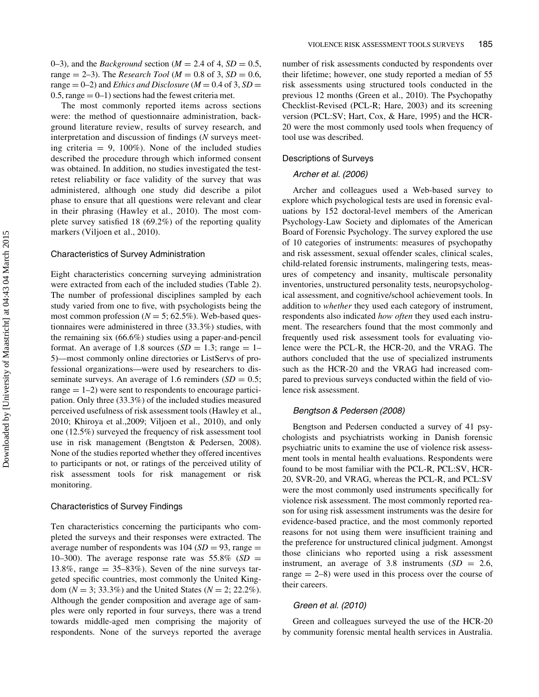0–3), and the *Background* section ( $M = 2.4$  of 4,  $SD = 0.5$ , range  $= 2-3$ ). The *Research Tool* ( $M = 0.8$  of 3, SD  $= 0.6$ , range  $= 0-2$ ) and *Ethics and Disclosure* (*M*  $= 0.4$  of 3, *SD*  $=$ 0.5, range  $= 0-1$ ) sections had the fewest criteria met.

The most commonly reported items across sections were: the method of questionnaire administration, background literature review, results of survey research, and interpretation and discussion of findings (N surveys meeting criteria  $= 9$ , 100%). None of the included studies described the procedure through which informed consent was obtained. In addition, no studies investigated the testretest reliability or face validity of the survey that was administered, although one study did describe a pilot phase to ensure that all questions were relevant and clear in their phrasing (Hawley et al., 2010). The most complete survey satisfied 18 (69.2%) of the reporting quality markers (Viljoen et al., 2010).

#### Characteristics of Survey Administration

Eight characteristics concerning surveying administration were extracted from each of the included studies (Table 2). The number of professional disciplines sampled by each study varied from one to five, with psychologists being the most common profession ( $N = 5$ ; 62.5%). Web-based questionnaires were administered in three (33.3%) studies, with the remaining six (66.6%) studies using a paper-and-pencil format. An average of 1.8 sources ( $SD = 1.3$ ; range  $= 1-$ 5)—most commonly online directories or ListServs of professional organizations—were used by researchers to disseminate surveys. An average of 1.6 reminders  $(SD = 0.5;$ range  $= 1-2$ ) were sent to respondents to encourage participation. Only three (33.3%) of the included studies measured perceived usefulness of risk assessment tools (Hawley et al., 2010; Khiroya et al.,2009; Viljoen et al., 2010), and only one (12.5%) surveyed the frequency of risk assessment tool use in risk management (Bengtston & Pedersen, 2008). None of the studies reported whether they offered incentives to participants or not, or ratings of the perceived utility of risk assessment tools for risk management or risk monitoring.

#### Characteristics of Survey Findings

Ten characteristics concerning the participants who completed the surveys and their responses were extracted. The average number of respondents was  $104 (SD = 93, range =$ 10–300). The average response rate was  $55.8\%$  (SD = 13.8%, range  $=$  35–83%). Seven of the nine surveys targeted specific countries, most commonly the United Kingdom ( $N = 3$ ; 33.3%) and the United States ( $N = 2$ ; 22.2%). Although the gender composition and average age of samples were only reported in four surveys, there was a trend towards middle-aged men comprising the majority of respondents. None of the surveys reported the average number of risk assessments conducted by respondents over their lifetime; however, one study reported a median of 55 risk assessments using structured tools conducted in the previous 12 months (Green et al., 2010). The Psychopathy Checklist-Revised (PCL-R; Hare, 2003) and its screening version (PCL:SV; Hart, Cox, & Hare, 1995) and the HCR-20 were the most commonly used tools when frequency of tool use was described.

#### Descriptions of Surveys

#### Archer et al. (2006)

Archer and colleagues used a Web-based survey to explore which psychological tests are used in forensic evaluations by 152 doctoral-level members of the American Psychology-Law Society and diplomates of the American Board of Forensic Psychology. The survey explored the use of 10 categories of instruments: measures of psychopathy and risk assessment, sexual offender scales, clinical scales, child-related forensic instruments, malingering tests, measures of competency and insanity, multiscale personality inventories, unstructured personality tests, neuropsychological assessment, and cognitive/school achievement tools. In addition to whether they used each category of instrument, respondents also indicated how often they used each instrument. The researchers found that the most commonly and frequently used risk assessment tools for evaluating violence were the PCL-R, the HCR-20, and the VRAG. The authors concluded that the use of specialized instruments such as the HCR-20 and the VRAG had increased compared to previous surveys conducted within the field of violence risk assessment.

#### Bengtson & Pedersen (2008)

Bengtson and Pedersen conducted a survey of 41 psychologists and psychiatrists working in Danish forensic psychiatric units to examine the use of violence risk assessment tools in mental health evaluations. Respondents were found to be most familiar with the PCL-R, PCL:SV, HCR-20, SVR-20, and VRAG, whereas the PCL-R, and PCL:SV were the most commonly used instruments specifically for violence risk assessment. The most commonly reported reason for using risk assessment instruments was the desire for evidence-based practice, and the most commonly reported reasons for not using them were insufficient training and the preference for unstructured clinical judgment. Amongst those clinicians who reported using a risk assessment instrument, an average of 3.8 instruments  $SD = 2.6$ , range  $= 2-8$ ) were used in this process over the course of their careers.

#### Green et al. (2010)

Green and colleagues surveyed the use of the HCR-20 by community forensic mental health services in Australia.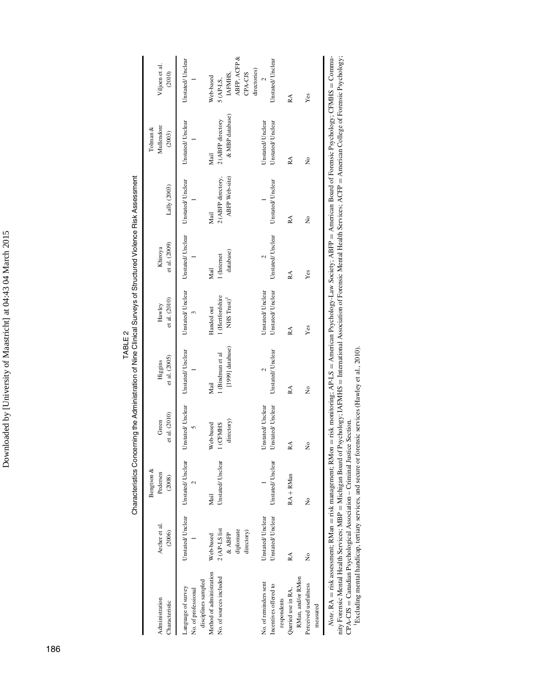Downloaded by [University of Maastricht] at 04:43 04 March 2015 Downloaded by [University of Maastricht] at 04:43 04 March 2015

|                                                                  |                                                                  |                                   |                                      | Characteristics Concerning the Administration of Nine Clinical Surveys of Structured Violence Risk Assessment<br>TABLE <sub>2</sub> |                                                           |                                                    |                                              |                                              |                                                                                |
|------------------------------------------------------------------|------------------------------------------------------------------|-----------------------------------|--------------------------------------|-------------------------------------------------------------------------------------------------------------------------------------|-----------------------------------------------------------|----------------------------------------------------|----------------------------------------------|----------------------------------------------|--------------------------------------------------------------------------------|
| Administration<br>Characteristic                                 | Archer et al.<br>(2006)                                          | Bengtson &<br>Pedersen<br>(2008)  | et al. $(2010)$<br>Green             | et al. (2005)<br>Higgins                                                                                                            | et al. (2010)<br>Hawley                                   | et al. (2009)<br>Khiroya                           | Lally $(2003)$                               | Mullendore<br>Tolman &<br>(2003)             | Viljoen et al.<br>(2010)                                                       |
| disciplines sampled<br>Language of survey<br>No. of professional |                                                                  | Unstated/Unclear Unstated/Unclear |                                      | Unstated/Unclear Unstated/Unclear                                                                                                   |                                                           | Unstated/Unclear Unstated/Unclear Unstated/Unclear |                                              | Unstated/Unclear                             | Unstated/Unclear                                                               |
| Method of administration<br>No. of sources included              | $2 (AP-LS$ list<br>diplomate<br>directory)<br>&ABFP<br>Web-based | Unstated/Unclear<br>Mail          | directory)<br>Web-based<br>(CFMHS)   | [1999] $database$ ]<br>1 (Bindman et al<br>Mail                                                                                     | 1 (Hertfordshire<br>NHS Trust) <sup>1</sup><br>Handed out | database)<br>1 (Internet<br>Mail                   | ABFP Web-site)<br>2 (ABFP directory,<br>Mail | & MBP database)<br>2 (ABFP directory<br>Mail | ABFP, ACFP &<br>directories)<br>CPA-CJS<br>IAFMHS,<br>Web-based<br>$5$ (AP-LS, |
| No. of reminders sent<br>Incentives offered to<br>respondents    | Unstated/Unclear<br>Unstated/Unclear                             | Unstated/Unclear                  | Unstated/Unclear<br>Unstated/Unclear | Unstated/Unclear                                                                                                                    | Unstated/Unclear<br>Unstated/Unclear                      | Unstated/Unclear                                   | Unstated/Unclear                             | Unstated/Unclear<br>Unstated/Unclear         | Unstated/Unclear                                                               |
| RMan, and/or RMon<br>Queried use in RA,                          | RA                                                               | RA + RMan                         | RA.                                  | ŘÁ                                                                                                                                  | RA                                                        | RA                                                 | RA                                           | RA                                           | RA                                                                             |
| Perceived usefulness<br>measured                                 | $\frac{1}{2}$                                                    | ž                                 | ş                                    | $\tilde{z}$                                                                                                                         | Yes                                                       | Yes                                                | $\tilde{z}$                                  | $\tilde{z}$                                  | Yes                                                                            |

*Note.* RA = risk assessment; RMan = risk management; RMon = risk monitoring; AP-LS = American Psychology-Law Society; ABFP = American Board of Forensic Psychology; CFMHS = Commu-<br>nity Forensic Mental Health Services; MBP Note. RA = risk assessment; RMan = risk management; RMon = risk monitoring; AP-LS = American Psychology-Law Society; ABFP = American Board of Forensic Psychology; CFMHS = Community Forensic Mental Health Services; MBP = Michigan Board of Psychology; IAFMHS = International Association of Forensic Mental Health Services; ACFP = American College of Forensic Psychology; CPA-CJS = Canadian Psychological Association – Criminal Justice Section.

1Excluding mental handicap, tertiary services, and secure or forensic services (Hawley et al., 2010).

I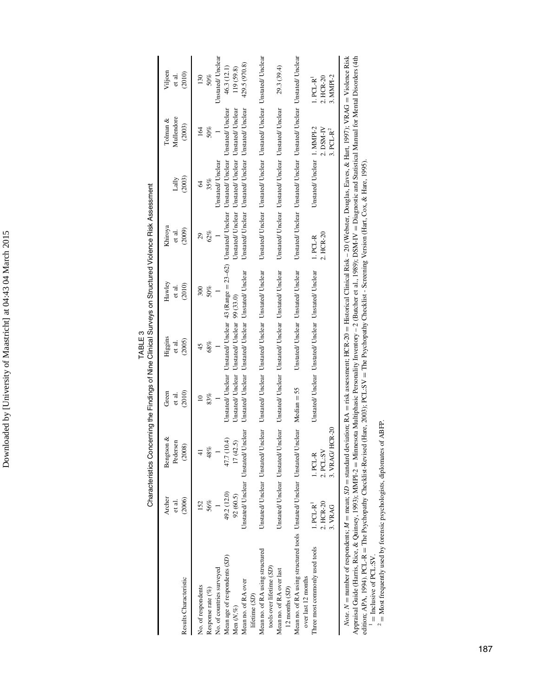| l<br>l          |
|-----------------|
| l               |
| ،<br>ہ          |
|                 |
|                 |
|                 |
|                 |
|                 |
|                 |
|                 |
|                 |
| I               |
|                 |
|                 |
|                 |
|                 |
| ١               |
|                 |
| i               |
| ֚֡֡             |
|                 |
|                 |
|                 |
|                 |
|                 |
|                 |
| l               |
| ١<br>l          |
|                 |
|                 |
| I               |
| ֕<br>֖֚֚֚֚֚֬֕֝֬ |
| l               |
| į<br>١          |
|                 |
|                 |
|                 |
|                 |
|                 |
|                 |
|                 |
|                 |
| ׇ֖֚֬֝֬<br>l     |

|                                                                                                                                                                                                                                                                                                                   | Archer                             | Bengtson &                                                                           | Green            | Higgins                                            | Hawley                                                                                                       | Khiroya                |                                                                     | Tolman &                    | Viljoen                                               |
|-------------------------------------------------------------------------------------------------------------------------------------------------------------------------------------------------------------------------------------------------------------------------------------------------------------------|------------------------------------|--------------------------------------------------------------------------------------|------------------|----------------------------------------------------|--------------------------------------------------------------------------------------------------------------|------------------------|---------------------------------------------------------------------|-----------------------------|-------------------------------------------------------|
| Results Characteristic                                                                                                                                                                                                                                                                                            | (2006)<br>et al.                   | Pedersen<br>(2008)                                                                   | (2010)<br>et al. | (2005)<br>et al.                                   | (2010)<br>et al.                                                                                             | (2009)<br>et al.       | (2003)<br>Lally                                                     | Mullendore<br>(2003)        | (2010)<br>et al.                                      |
| No. of respondents                                                                                                                                                                                                                                                                                                | 152                                |                                                                                      | ≘                | 45                                                 | 300                                                                                                          | 29                     | $\mathcal{L}$                                                       | 164                         | 130                                                   |
| Response rate (%)                                                                                                                                                                                                                                                                                                 | 56%                                | 48%                                                                                  | 83%              | 68%                                                | 50%                                                                                                          | 62%                    | 35%                                                                 | 50%                         | 50%                                                   |
| No. of countries surveyed                                                                                                                                                                                                                                                                                         |                                    |                                                                                      |                  |                                                    |                                                                                                              |                        | Unstated/ Unclear                                                   |                             | Unstated/ Unclear                                     |
| Mean age of respondents (SD)                                                                                                                                                                                                                                                                                      | 49.2 (12.0)                        | 47.7 (10.4)                                                                          |                  |                                                    | Unstated/ Unclear Unstated/ Unclear 43 (Range = 23-62) Unstated/ Unclear Unstated/ Unclear Unstated/ Unclear |                        |                                                                     |                             | 46.3 (12.1)                                           |
| Men $(N, \%)$                                                                                                                                                                                                                                                                                                     | 92(60.5)                           | 17(42.5)                                                                             |                  | Unstated/Unclear Unstated/Unclear 99 (33.0)        |                                                                                                              |                        | Unstated/Unclear Unstated/Unclear Unstated/Unclear                  |                             | 119 (59.8)                                            |
| Mean no. of RA over<br>lifetime (SD)                                                                                                                                                                                                                                                                              |                                    | Unstated/Unclear Unstated/Unclear                                                    |                  | Unstated/Unclear Unstated/Unclear Unstated/Unclear |                                                                                                              |                        | Unstated/Unclear Unstated/Unclear Unstated/Unclear                  |                             | 429.5 (970.8)                                         |
| Mean no. of RA using structured<br>tools over lifetime (SD)                                                                                                                                                                                                                                                       |                                    | Unstated/Unclear Unstated/Unclear Unstated/Unclear Unstated/Unclear Unstated/Unclear |                  |                                                    |                                                                                                              |                        | Unstated/Unclear Unstated/Unclear Unstated/Unclear Unstated/Unclear |                             |                                                       |
| Mean no. of RA over last<br>12 months (SD)                                                                                                                                                                                                                                                                        |                                    | Unstated/Unclear Unstated/Unclear Unstated/Unclear Unstated/Unclear Unstated/Unclear |                  |                                                    |                                                                                                              |                        | Unstated/Unclear Unstated/Unclear Unstated/Unclear                  |                             | 29.3 (39.4)                                           |
| Mean no. of RA using structured tools Unstated Unclear Unstated Unclear<br>over last 12 months                                                                                                                                                                                                                    |                                    |                                                                                      | $Median = 55$    |                                                    | Unstated/Unclear Unstated/Unclear                                                                            |                        | Unstated/Unclear Unstated/Unclear Unstated/Unclear Unstated/Unclear |                             |                                                       |
| Three most commonly used tools                                                                                                                                                                                                                                                                                    | 2. HCR-20<br>$1.PCL-R1$<br>3. VRAG | $HCR-20$<br>1.PCL-R<br>$2.$ PCL:SN<br>3. VRAG/                                       |                  | Unstated/Unclear Unstated/Unclear Unstated/Unclear |                                                                                                              | 2. HCR-20<br>$1.PCL-R$ | Unstated Unclear 1. MMPI-2                                          | 2. DSM-IV<br>$3.$ PCL- $R2$ | 3. MMPI-2<br>$2.$ HCR- $20$<br>$.$ PCL-R <sup>1</sup> |
| $N_{\rm tot}$ and $N_{\rm tot}$ and $M_{\rm tot}$ and and $N_{\rm tot}$ and $N_{\rm tot}$ and $N_{\rm tot}$ and $N_{\rm tot}$ and $N_{\rm tot}$ and $N_{\rm tot}$ and $N_{\rm tot}$ and $N_{\rm tot}$ and $N_{\rm tot}$ and $N_{\rm tot}$ and $N_{\rm tot}$ and $N_{\rm tot}$ and $N_{\rm tot}$ and $N_{\rm tot}$ |                                    |                                                                                      |                  |                                                    |                                                                                                              |                        |                                                                     |                             |                                                       |

TABLE 3<br>Characteristics Concerning the Findings of Nine Clinical Surveys on Structured Violence Risk Assessment Characteristics Concerning the Findings of Nine Clinical Surveys on Structured Violence Risk Assessment

Note. N = number of respondents;  $M = \text{mean}$ ,  $SD = \text{standard deviation}$ ; RA = risk assessment; HCR-20 = Historical Clinical Risk – 20 (Webster, Douglas, Eaves, & Hart, 1997); VRAG = Violence Risk Appraisal Guide (Harris, Rice, & Quinsey, 1993); MMPI-2 = Minnesota Multiphasic Personality Inventory – 2 (Butcher et al., 1989); DSM-IV = Diagnostic and Statistical Manual for Mental Disorders (4th edition; APA, 1994). PCL-R = The Psychopathy Checklist-Revised (Hare, 2003); PCL:SV = The Psychopathy Checklist - Screening Version (Hart, Cox, & Hare, 1995).

 $\frac{1}{2}$  $=$  Inclusive of PCL:SV. Most frequently used by forensic psychologists, diplomates of ABFP.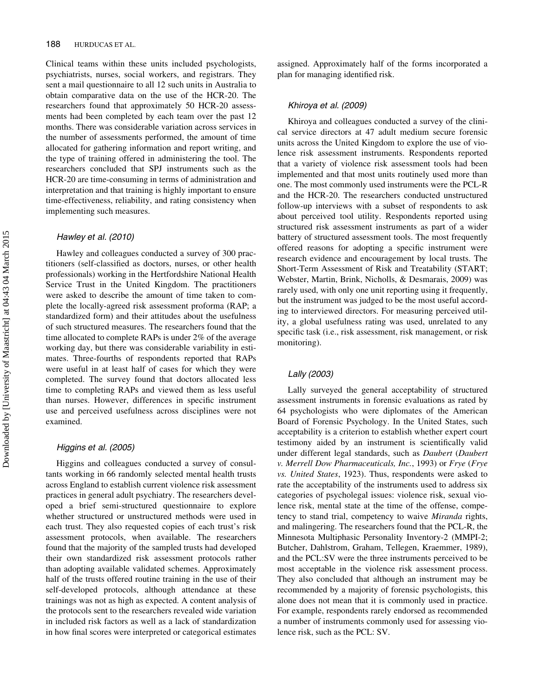Clinical teams within these units included psychologists, psychiatrists, nurses, social workers, and registrars. They sent a mail questionnaire to all 12 such units in Australia to obtain comparative data on the use of the HCR-20. The researchers found that approximately 50 HCR-20 assessments had been completed by each team over the past 12 months. There was considerable variation across services in the number of assessments performed, the amount of time allocated for gathering information and report writing, and the type of training offered in administering the tool. The researchers concluded that SPJ instruments such as the HCR-20 are time-consuming in terms of administration and interpretation and that training is highly important to ensure time-effectiveness, reliability, and rating consistency when implementing such measures.

## Hawley et al. (2010)

Hawley and colleagues conducted a survey of 300 practitioners (self-classified as doctors, nurses, or other health professionals) working in the Hertfordshire National Health Service Trust in the United Kingdom. The practitioners were asked to describe the amount of time taken to complete the locally-agreed risk assessment proforma (RAP; a standardized form) and their attitudes about the usefulness of such structured measures. The researchers found that the time allocated to complete RAPs is under 2% of the average working day, but there was considerable variability in estimates. Three-fourths of respondents reported that RAPs were useful in at least half of cases for which they were completed. The survey found that doctors allocated less time to completing RAPs and viewed them as less useful than nurses. However, differences in specific instrument use and perceived usefulness across disciplines were not examined.

## Higgins et al. (2005)

Higgins and colleagues conducted a survey of consultants working in 66 randomly selected mental health trusts across England to establish current violence risk assessment practices in general adult psychiatry. The researchers developed a brief semi-structured questionnaire to explore whether structured or unstructured methods were used in each trust. They also requested copies of each trust's risk assessment protocols, when available. The researchers found that the majority of the sampled trusts had developed their own standardized risk assessment protocols rather than adopting available validated schemes. Approximately half of the trusts offered routine training in the use of their self-developed protocols, although attendance at these trainings was not as high as expected. A content analysis of the protocols sent to the researchers revealed wide variation in included risk factors as well as a lack of standardization in how final scores were interpreted or categorical estimates assigned. Approximately half of the forms incorporated a plan for managing identified risk.

## Khiroya et al. (2009)

Khiroya and colleagues conducted a survey of the clinical service directors at 47 adult medium secure forensic units across the United Kingdom to explore the use of violence risk assessment instruments. Respondents reported that a variety of violence risk assessment tools had been implemented and that most units routinely used more than one. The most commonly used instruments were the PCL-R and the HCR-20. The researchers conducted unstructured follow-up interviews with a subset of respondents to ask about perceived tool utility. Respondents reported using structured risk assessment instruments as part of a wider battery of structured assessment tools. The most frequently offered reasons for adopting a specific instrument were research evidence and encouragement by local trusts. The Short-Term Assessment of Risk and Treatability (START; Webster, Martin, Brink, Nicholls, & Desmarais, 2009) was rarely used, with only one unit reporting using it frequently, but the instrument was judged to be the most useful according to interviewed directors. For measuring perceived utility, a global usefulness rating was used, unrelated to any specific task (i.e., risk assessment, risk management, or risk monitoring).

#### Lally (2003)

Lally surveyed the general acceptability of structured assessment instruments in forensic evaluations as rated by 64 psychologists who were diplomates of the American Board of Forensic Psychology. In the United States, such acceptability is a criterion to establish whether expert court testimony aided by an instrument is scientifically valid under different legal standards, such as Daubert (Daubert v. Merrell Dow Pharmaceuticals, Inc., 1993) or Frye (Frye vs. United States, 1923). Thus, respondents were asked to rate the acceptability of the instruments used to address six categories of psycholegal issues: violence risk, sexual violence risk, mental state at the time of the offense, competency to stand trial, competency to waive Miranda rights, and malingering. The researchers found that the PCL-R, the Minnesota Multiphasic Personality Inventory-2 (MMPI-2; Butcher, Dahlstrom, Graham, Tellegen, Kraemmer, 1989), and the PCL:SV were the three instruments perceived to be most acceptable in the violence risk assessment process. They also concluded that although an instrument may be recommended by a majority of forensic psychologists, this alone does not mean that it is commonly used in practice. For example, respondents rarely endorsed as recommended a number of instruments commonly used for assessing violence risk, such as the PCL: SV.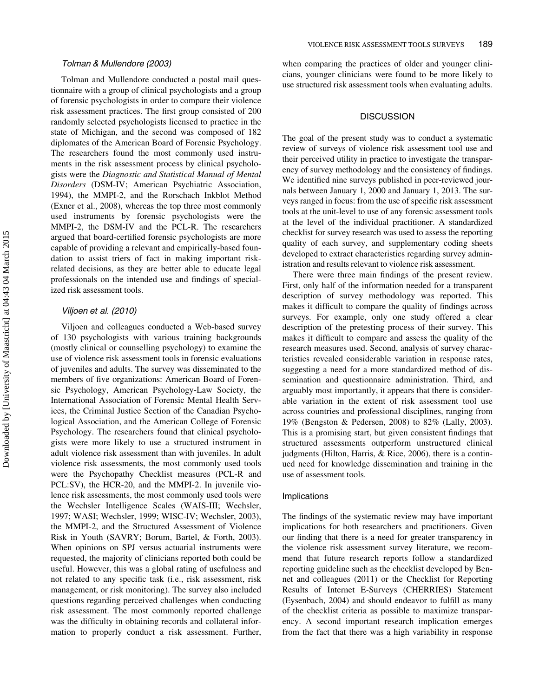#### Tolman & Mullendore (2003)

Tolman and Mullendore conducted a postal mail questionnaire with a group of clinical psychologists and a group of forensic psychologists in order to compare their violence risk assessment practices. The first group consisted of 200 randomly selected psychologists licensed to practice in the state of Michigan, and the second was composed of 182 diplomates of the American Board of Forensic Psychology. The researchers found the most commonly used instruments in the risk assessment process by clinical psychologists were the Diagnostic and Statistical Manual of Mental Disorders (DSM-IV; American Psychiatric Association, 1994), the MMPI-2, and the Rorschach Inkblot Method (Exner et al., 2008), whereas the top three most commonly used instruments by forensic psychologists were the MMPI-2, the DSM-IV and the PCL-R. The researchers argued that board-certified forensic psychologists are more capable of providing a relevant and empirically-based foundation to assist triers of fact in making important riskrelated decisions, as they are better able to educate legal professionals on the intended use and findings of specialized risk assessment tools.

#### Viljoen et al. (2010)

Viljoen and colleagues conducted a Web-based survey of 130 psychologists with various training backgrounds (mostly clinical or counselling psychology) to examine the use of violence risk assessment tools in forensic evaluations of juveniles and adults. The survey was disseminated to the members of five organizations: American Board of Forensic Psychology, American Psychology-Law Society, the International Association of Forensic Mental Health Services, the Criminal Justice Section of the Canadian Psychological Association, and the American College of Forensic Psychology. The researchers found that clinical psychologists were more likely to use a structured instrument in adult violence risk assessment than with juveniles. In adult violence risk assessments, the most commonly used tools were the Psychopathy Checklist measures (PCL-R and PCL:SV), the HCR-20, and the MMPI-2. In juvenile violence risk assessments, the most commonly used tools were the Wechsler Intelligence Scales (WAIS-III; Wechsler, 1997; WASI; Wechsler, 1999; WISC-IV; Wechsler, 2003), the MMPI-2, and the Structured Assessment of Violence Risk in Youth (SAVRY; Borum, Bartel, & Forth, 2003). When opinions on SPJ versus actuarial instruments were requested, the majority of clinicians reported both could be useful. However, this was a global rating of usefulness and not related to any specific task (i.e., risk assessment, risk management, or risk monitoring). The survey also included questions regarding perceived challenges when conducting risk assessment. The most commonly reported challenge was the difficulty in obtaining records and collateral information to properly conduct a risk assessment. Further, when comparing the practices of older and younger clinicians, younger clinicians were found to be more likely to use structured risk assessment tools when evaluating adults.

### **DISCUSSION**

The goal of the present study was to conduct a systematic review of surveys of violence risk assessment tool use and their perceived utility in practice to investigate the transparency of survey methodology and the consistency of findings. We identified nine surveys published in peer-reviewed journals between January 1, 2000 and January 1, 2013. The surveys ranged in focus: from the use of specific risk assessment tools at the unit-level to use of any forensic assessment tools at the level of the individual practitioner. A standardized checklist for survey research was used to assess the reporting quality of each survey, and supplementary coding sheets developed to extract characteristics regarding survey administration and results relevant to violence risk assessment.

There were three main findings of the present review. First, only half of the information needed for a transparent description of survey methodology was reported. This makes it difficult to compare the quality of findings across surveys. For example, only one study offered a clear description of the pretesting process of their survey. This makes it difficult to compare and assess the quality of the research measures used. Second, analysis of survey characteristics revealed considerable variation in response rates, suggesting a need for a more standardized method of dissemination and questionnaire administration. Third, and arguably most importantly, it appears that there is considerable variation in the extent of risk assessment tool use across countries and professional disciplines, ranging from 19% (Bengston & Pedersen, 2008) to 82% (Lally, 2003). This is a promising start, but given consistent findings that structured assessments outperform unstructured clinical judgments (Hilton, Harris, & Rice, 2006), there is a continued need for knowledge dissemination and training in the use of assessment tools.

#### Implications

The findings of the systematic review may have important implications for both researchers and practitioners. Given our finding that there is a need for greater transparency in the violence risk assessment survey literature, we recommend that future research reports follow a standardized reporting guideline such as the checklist developed by Bennet and colleagues (2011) or the Checklist for Reporting Results of Internet E-Surveys (CHERRIES) Statement (Eysenbach, 2004) and should endeavor to fulfill as many of the checklist criteria as possible to maximize transparency. A second important research implication emerges from the fact that there was a high variability in response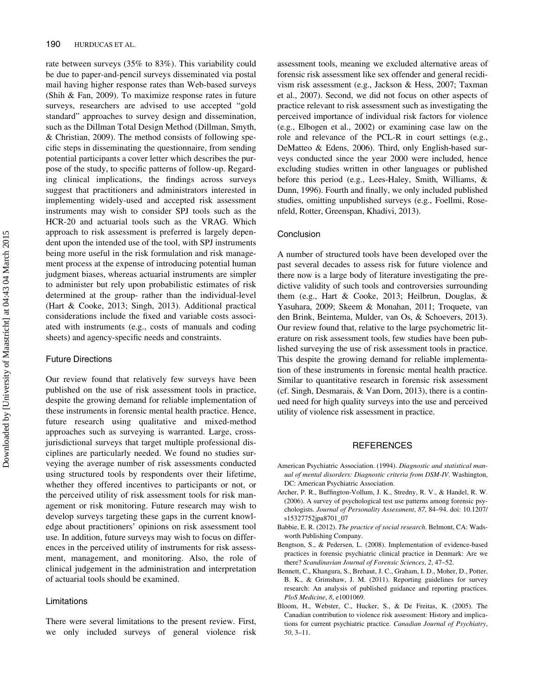rate between surveys (35% to 83%). This variability could be due to paper-and-pencil surveys disseminated via postal mail having higher response rates than Web-based surveys (Shih & Fan, 2009). To maximize response rates in future surveys, researchers are advised to use accepted "gold standard" approaches to survey design and dissemination, such as the Dillman Total Design Method (Dillman, Smyth, & Christian, 2009). The method consists of following specific steps in disseminating the questionnaire, from sending potential participants a cover letter which describes the purpose of the study, to specific patterns of follow-up. Regarding clinical implications, the findings across surveys suggest that practitioners and administrators interested in implementing widely-used and accepted risk assessment instruments may wish to consider SPJ tools such as the HCR-20 and actuarial tools such as the VRAG. Which approach to risk assessment is preferred is largely dependent upon the intended use of the tool, with SPJ instruments being more useful in the risk formulation and risk management process at the expense of introducing potential human judgment biases, whereas actuarial instruments are simpler to administer but rely upon probabilistic estimates of risk determined at the group- rather than the individual-level (Hart & Cooke, 2013; Singh, 2013). Additional practical considerations include the fixed and variable costs associated with instruments (e.g., costs of manuals and coding sheets) and agency-specific needs and constraints.

#### Future Directions

Our review found that relatively few surveys have been published on the use of risk assessment tools in practice, despite the growing demand for reliable implementation of these instruments in forensic mental health practice. Hence, future research using qualitative and mixed-method approaches such as surveying is warranted. Large, crossjurisdictional surveys that target multiple professional disciplines are particularly needed. We found no studies surveying the average number of risk assessments conducted using structured tools by respondents over their lifetime, whether they offered incentives to participants or not, or the perceived utility of risk assessment tools for risk management or risk monitoring. Future research may wish to develop surveys targeting these gaps in the current knowledge about practitioners' opinions on risk assessment tool use. In addition, future surveys may wish to focus on differences in the perceived utility of instruments for risk assessment, management, and monitoring. Also, the role of clinical judgement in the administration and interpretation of actuarial tools should be examined.

#### Limitations

There were several limitations to the present review. First, we only included surveys of general violence risk assessment tools, meaning we excluded alternative areas of forensic risk assessment like sex offender and general recidivism risk assessment (e.g., Jackson & Hess, 2007; Taxman et al., 2007). Second, we did not focus on other aspects of practice relevant to risk assessment such as investigating the perceived importance of individual risk factors for violence (e.g., Elbogen et al., 2002) or examining case law on the role and relevance of the PCL-R in court settings (e.g., DeMatteo & Edens, 2006). Third, only English-based surveys conducted since the year 2000 were included, hence excluding studies written in other languages or published before this period (e.g., Lees-Haley, Smith, Williams, & Dunn, 1996). Fourth and finally, we only included published studies, omitting unpublished surveys (e.g., Foellmi, Rosenfeld, Rotter, Greenspan, Khadivi, 2013).

#### Conclusion

A number of structured tools have been developed over the past several decades to assess risk for future violence and there now is a large body of literature investigating the predictive validity of such tools and controversies surrounding them (e.g., Hart & Cooke, 2013; Heilbrun, Douglas, & Yasuhara, 2009; Skeem & Monahan, 2011; Troquete, van den Brink, Beintema, Mulder, van Os, & Schoevers, 2013). Our review found that, relative to the large psychometric literature on risk assessment tools, few studies have been published surveying the use of risk assessment tools in practice. This despite the growing demand for reliable implementation of these instruments in forensic mental health practice. Similar to quantitative research in forensic risk assessment (cf. Singh, Desmarais, & Van Dorn, 2013), there is a continued need for high quality surveys into the use and perceived utility of violence risk assessment in practice.

#### **REFERENCES**

- American Psychiatric Association. (1994). Diagnostic and statistical manual of mental disorders: Diagnostic criteria from DSM-IV. Washington, DC: American Psychiatric Association.
- Archer, P. R., Buffington-Vollum, J. K., Stredny, R. V., & Handel, R. W. (2006). A survey of psychological test use patterns among forensic psychologists. Journal of Personality Assessment, 87, 84–94. doi: 10.1207/ s15327752jpa8701\_07
- Babbie, E. R. (2012). The practice of social research. Belmont, CA: Wadsworth Publishing Company.
- Bengtson, S., & Pedersen, L. (2008). Implementation of evidence-based practices in forensic psychiatric clinical practice in Denmark: Are we there? Scandinavian Journal of Forensic Sciences, 2, 47–52.
- Bennett, C., Khangura, S., Brehaut, J. C., Graham, I. D., Moher, D., Potter, B. K., & Grimshaw, J. M. (2011). Reporting guidelines for survey research: An analysis of published guidance and reporting practices. PloS Medicine, 8, e1001069.
- Bloom, H., Webster, C., Hucker, S., & De Freitas, K. (2005). The Canadian contribution to violence risk assessment: History and implications for current psychiatric practice. Canadian Journal of Psychiatry, 50, 3–11.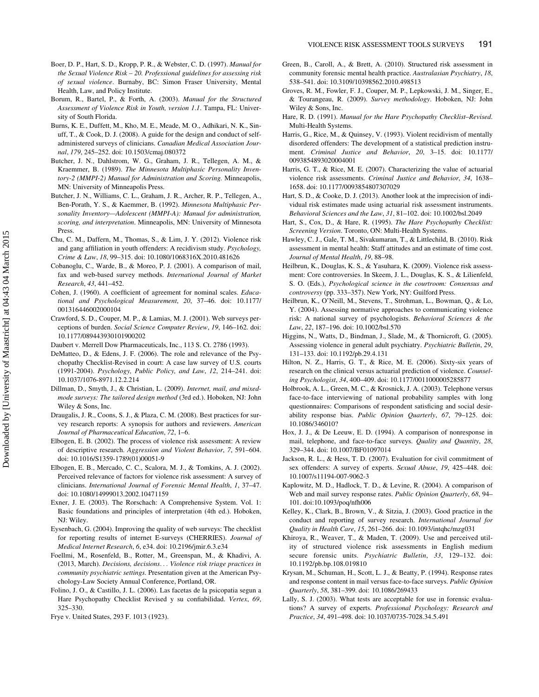- Boer, D. P., Hart, S. D., Kropp, P. R., & Webster, C. D. (1997). Manual for the Sexual Violence Risk – 20. Professional guidelines for assessing risk of sexual violence. Burnaby, BC: Simon Fraser University, Mental Health, Law, and Policy Institute.
- Borum, R., Bartel, P., & Forth, A. (2003). Manual for the Structured Assessment of Violence Risk in Youth, version 1.1. Tampa, FL: University of South Florida.
- Burns, K. E., Duffett, M., Kho, M. E., Meade, M. O., Adhikari, N. K., Sinuff, T., & Cook, D. J. (2008). A guide for the design and conduct of selfadministered surveys of clinicians. Canadian Medical Association Journal, 179, 245–252. doi: 10.1503/cmaj.080372
- Butcher, J. N., Dahlstrom, W. G., Graham, J. R., Tellegen, A. M., & Kraemmer, B. (1989). The Minnesota Multiphasic Personality Inventory-2 (MMPI-2) Manual for Administration and Scoring. Minneapolis, MN: University of Minneapolis Press.
- Butcher, J. N., Williams, C. L., Graham, J. R., Archer, R. P., Tellegen, A., Ben-Porath, Y. S., & Kaemmer, B. (1992). Minnesota Multiphasic Personality Inventory—Adolescent (MMPI-A): Manual for administration, scoring, and interpretation. Minneapolis, MN: University of Minnesota Press.
- Chu, C. M., Daffern, M., Thomas, S., & Lim, J. Y. (2012). Violence risk and gang affiliation in youth offenders: A recidivism study. Psychology, Crime & Law, 18, 99–315. doi: 10.1080/1068316X.2010.481626
- Cobanoglu, C., Warde, B., & Moreo, P. J. (2001). A comparison of mail, fax and web-based survey methods. International Journal of Market Research, 43, 441–452.
- Cohen, J. (1960). A coefficient of agreement for nominal scales. Educational and Psychological Measurement, 20, 37–46. doi: 10.1177/ 001316446002000104
- Crawford, S. D., Couper, M. P., & Lamias, M. J. (2001). Web surveys perceptions of burden. Social Science Computer Review, 19, 146–162. doi: 10.1177/089443930101900202
- Daubert v. Merrell Dow Pharmaceuticals, Inc., 113 S. Ct. 2786 (1993).
- DeMatteo, D., & Edens, J. F. (2006). The role and relevance of the Psychopathy Checklist-Revised in court: A case law survey of U.S. courts (1991-2004). Psychology, Public Policy, and Law, 12, 214–241. doi: 10.1037/1076-8971.12.2.214
- Dillman, D., Smyth, J., & Christian, L. (2009). Internet, mail, and mixedmode surveys: The tailored design method (3rd ed.). Hoboken, NJ: John Wiley & Sons, Inc.
- Draugalis, J. R., Coons, S. J., & Plaza, C. M. (2008). Best practices for survey research reports: A synopsis for authors and reviewers. American Journal of Pharmaceutical Education, 72, 1–6.
- Elbogen, E. B. (2002). The process of violence risk assessment: A review of descriptive research. Aggression and Violent Behavior, 7, 591–604. doi: 10.1016/S1359-1789(01)00051-9
- Elbogen, E. B., Mercado, C. C., Scalora, M. J., & Tomkins, A. J. (2002). Perceived relevance of factors for violence risk assessment: A survey of clinicians. International Journal of Forensic Mental Health, 1, 37–47. doi: 10.1080/14999013.2002.10471159
- Exner, J. E. (2003). The Rorschach: A Comprehensive System. Vol. 1: Basic foundations and principles of interpretation (4th ed.). Hoboken, NJ: Wiley.
- Eysenbach, G. (2004). Improving the quality of web surveys: The checklist for reporting results of internet E-surveys (CHERRIES). Journal of Medical Internet Research, 6, e34. doi: 10.2196/jmir.6.3.e34
- Foellmi, M., Rosenfeld, B., Rotter, M., Greenspan, M., & Khadivi, A. (2013, March). Decisions, decisions... Violence risk triage practices in community psychiatric settings. Presentation given at the American Psychology-Law Society Annual Conference, Portland, OR.
- Folino, J. O., & Castillo, J. L. (2006). Las facetas de la psicopatia segun a Hare Psychopathy Checklist Revised y su confiabilidad. Vertex, 69, 325–330.
- Frye v. United States, 293 F. 1013 (1923).
- Green, B., Caroll, A., & Brett, A. (2010). Structured risk assessment in community forensic mental health practice. Australasian Psychiatry, 18, 538–541. doi: 10.3109/10398562.2010.498513
- Groves, R. M., Fowler, F. J., Couper, M. P., Lepkowski, J. M., Singer, E., & Tourangeau, R. (2009). Survey methodology. Hoboken, NJ: John Wiley & Sons, Inc.
- Hare, R. D. (1991). Manual for the Hare Psychopathy Checklist–Revised. Multi-Health Systems.
- Harris, G., Rice, M., & Quinsey, V. (1993). Violent recidivism of mentally disordered offenders: The development of a statistical prediction instrument. Criminal Justice and Behavior, 20, 3–15. doi: 10.1177/ 0093854893020004001
- Harris, G. T., & Rice, M. E. (2007). Characterizing the value of actuarial violence risk assessments. Criminal Justice and Behavior, 34, 1638– 1658. doi: 10.1177/0093854807307029
- Hart, S. D., & Cooke, D. J. (2013). Another look at the imprecision of individual risk estimates made using actuarial risk assessment instruments. Behavioral Sciences and the Law, 31, 81–102. doi: 10.1002/bsl.2049
- Hart, S., Cox, D., & Hare, R. (1995). The Hare Psychopathy Checklist: Screening Version. Toronto, ON: Multi-Health Systems.
- Hawley, C. J., Gale, T. M., Sivakumaran, T., & Littlechild, B. (2010). Risk assessment in mental health: Staff attitudes and an estimate of time cost. Journal of Mental Health, 19, 88–98.
- Heilbrun, K., Douglas, K. S., & Yasuhara, K. (2009). Violence risk assessment: Core controversies. In Skeem, J. L., Douglas, K. S., & Lilienfeld, S. O. (Eds.), Psychological science in the courtroom: Consensus and controversy (pp. 333–357). New York, NY: Guilford Press.
- Heilbrun, K., O'Neill, M., Stevens, T., Strohman, L., Bowman, Q., & Lo, Y. (2004). Assessing normative approaches to communicating violence risk: A national survey of psychologists. Behavioral Sciences & the Law, 22, 187–196. doi: 10.1002/bsl.570
- Higgins, N., Watts, D., Bindman, J., Slade, M., & Thornicroft, G. (2005). Assessing violence in general adult psychiatry. Psychiatric Bulletin, 29, 131–133. doi: 10.1192/pb.29.4.131
- Hilton, N. Z., Harris, G. T., & Rice, M. E. (2006). Sixty-six years of research on the clinical versus actuarial prediction of violence. Counseling Psychologist, 34, 400–409. doi: 10.1177/0011000005285877
- Holbrook, A. L., Green, M. C., & Krosnick, J. A. (2003). Telephone versus face-to-face interviewing of national probability samples with long questionnaires: Comparisons of respondent satisficing and social desirability response bias. Public Opinion Quarterly, 67, 79–125. doi: 10.1086/346010?
- Hox, J. J., & De Leeuw, E. D. (1994). A comparison of nonresponse in mail, telephone, and face-to-face surveys. Quality and Quantity, 28, 329–344. doi: 10.1007/BF01097014
- Jackson, R. L., & Hess, T. D. (2007). Evaluation for civil commitment of sex offenders: A survey of experts. Sexual Abuse, 19, 425–448. doi: 10.1007/s11194-007-9062-3
- Kaplowitz, M. D., Hadlock, T. D., & Levine, R. (2004). A comparison of Web and mail survey response rates. Public Opinion Quarterly, 68, 94-101. doi:10.1093/poq/nfh006
- Kelley, K., Clark, B., Brown, V., & Sitzia, J. (2003). Good practice in the conduct and reporting of survey research. International Journal for Quality in Health Care, 15, 261–266. doi: 10.1093/intqhc/mzg031
- Khiroya, R., Weaver, T., & Maden, T. (2009). Use and perceived utility of structured violence risk assessments in English medium secure forensic units. Psychiatric Bulletin, 33, 129-132. doi: 10.1192/pb.bp.108.019810
- Krysan, M., Schuman, H., Scott, L. J., & Beatty, P. (1994). Response rates and response content in mail versus face-to-face surveys. Public Opinion Quarterly, 58, 381–399. doi: 10.1086/269433
- Lally, S. J. (2003). What tests are acceptable for use in forensic evaluations? A survey of experts. Professional Psychology: Research and Practice, 34, 491–498. doi: 10.1037/0735-7028.34.5.491